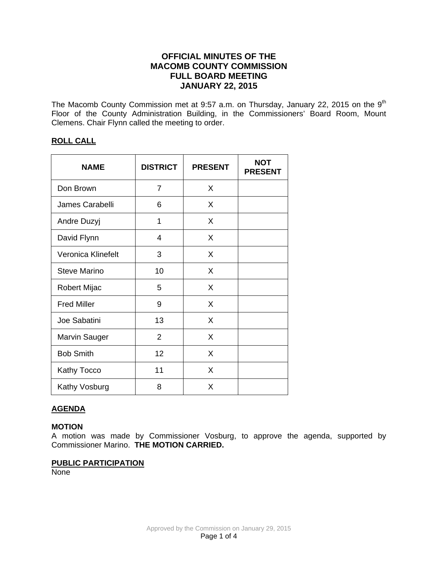# **OFFICIAL MINUTES OF THE MACOMB COUNTY COMMISSION FULL BOARD MEETING JANUARY 22, 2015**

The Macomb County Commission met at 9:57 a.m. on Thursday, January 22, 2015 on the  $9<sup>th</sup>$ Floor of the County Administration Building, in the Commissioners' Board Room, Mount Clemens. Chair Flynn called the meeting to order.

# **ROLL CALL**

| <b>NAME</b>         | <b>DISTRICT</b> | <b>PRESENT</b> | <b>NOT</b><br><b>PRESENT</b> |
|---------------------|-----------------|----------------|------------------------------|
| Don Brown           | 7               | X              |                              |
| James Carabelli     | 6               | X              |                              |
| Andre Duzyj         | 1               | X              |                              |
| David Flynn         | 4               | X              |                              |
| Veronica Klinefelt  | 3               | X              |                              |
| <b>Steve Marino</b> | 10              | X              |                              |
| <b>Robert Mijac</b> | 5               | X              |                              |
| <b>Fred Miller</b>  | 9               | X              |                              |
| Joe Sabatini        | 13              | X              |                              |
| Marvin Sauger       | 2               | X              |                              |
| <b>Bob Smith</b>    | 12              | X              |                              |
| <b>Kathy Tocco</b>  | 11              | X              |                              |
| Kathy Vosburg       | 8               | X              |                              |

# **AGENDA**

# **MOTION**

A motion was made by Commissioner Vosburg, to approve the agenda, supported by Commissioner Marino. **THE MOTION CARRIED.** 

# **PUBLIC PARTICIPATION**

**None**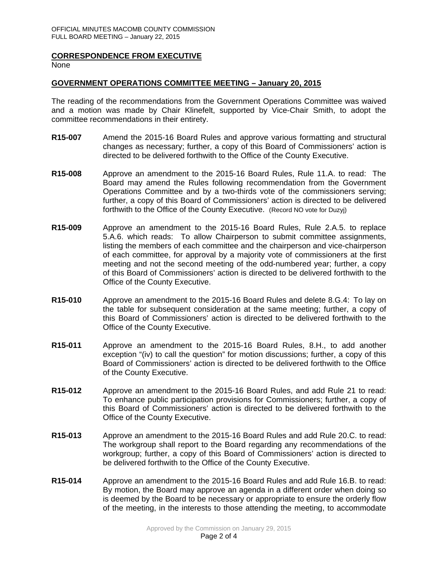## **CORRESPONDENCE FROM EXECUTIVE**

None

## **GOVERNMENT OPERATIONS COMMITTEE MEETING – January 20, 2015**

The reading of the recommendations from the Government Operations Committee was waived and a motion was made by Chair Klinefelt, supported by Vice-Chair Smith, to adopt the committee recommendations in their entirety.

- **R15-007** Amend the 2015-16 Board Rules and approve various formatting and structural changes as necessary; further, a copy of this Board of Commissioners' action is directed to be delivered forthwith to the Office of the County Executive.
- **R15-008** Approve an amendment to the 2015-16 Board Rules, Rule 11.A. to read: The Board may amend the Rules following recommendation from the Government Operations Committee and by a two-thirds vote of the commissioners serving; further, a copy of this Board of Commissioners' action is directed to be delivered forthwith to the Office of the County Executive. (Record NO vote for Duzyj)
- **R15-009** Approve an amendment to the 2015-16 Board Rules, Rule 2.A.5. to replace 5.A.6. which reads: To allow Chairperson to submit committee assignments, listing the members of each committee and the chairperson and vice-chairperson of each committee, for approval by a majority vote of commissioners at the first meeting and not the second meeting of the odd-numbered year; further, a copy of this Board of Commissioners' action is directed to be delivered forthwith to the Office of the County Executive.
- **R15-010** Approve an amendment to the 2015-16 Board Rules and delete 8.G.4: To lay on the table for subsequent consideration at the same meeting; further, a copy of this Board of Commissioners' action is directed to be delivered forthwith to the Office of the County Executive.
- **R15-011** Approve an amendment to the 2015-16 Board Rules, 8.H., to add another exception "(iv) to call the question" for motion discussions; further, a copy of this Board of Commissioners' action is directed to be delivered forthwith to the Office of the County Executive.
- **R15-012** Approve an amendment to the 2015-16 Board Rules, and add Rule 21 to read: To enhance public participation provisions for Commissioners; further, a copy of this Board of Commissioners' action is directed to be delivered forthwith to the Office of the County Executive.
- **R15-013** Approve an amendment to the 2015-16 Board Rules and add Rule 20.C. to read: The workgroup shall report to the Board regarding any recommendations of the workgroup; further, a copy of this Board of Commissioners' action is directed to be delivered forthwith to the Office of the County Executive.
- **R15-014** Approve an amendment to the 2015-16 Board Rules and add Rule 16.B. to read: By motion, the Board may approve an agenda in a different order when doing so is deemed by the Board to be necessary or appropriate to ensure the orderly flow of the meeting, in the interests to those attending the meeting, to accommodate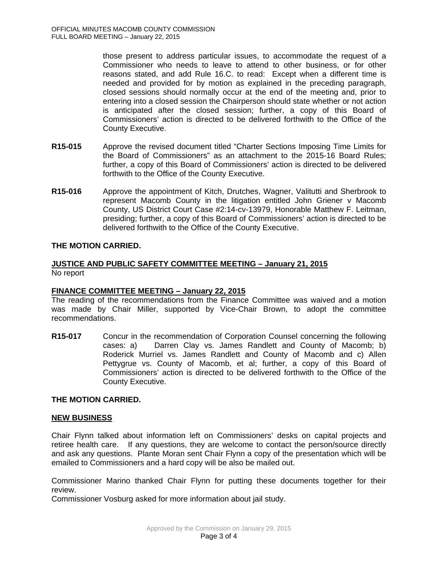those present to address particular issues, to accommodate the request of a Commissioner who needs to leave to attend to other business, or for other reasons stated, and add Rule 16.C. to read: Except when a different time is needed and provided for by motion as explained in the preceding paragraph, closed sessions should normally occur at the end of the meeting and, prior to entering into a closed session the Chairperson should state whether or not action is anticipated after the closed session; further, a copy of this Board of Commissioners' action is directed to be delivered forthwith to the Office of the County Executive.

- **R15-015** Approve the revised document titled "Charter Sections Imposing Time Limits for the Board of Commissioners" as an attachment to the 2015-16 Board Rules; further, a copy of this Board of Commissioners' action is directed to be delivered forthwith to the Office of the County Executive.
- **R15-016** Approve the appointment of Kitch, Drutches, Wagner, Valitutti and Sherbrook to represent Macomb County in the litigation entitled John Griener v Macomb County, US District Court Case #2:14-cv-13979, Honorable Matthew F. Leitman, presiding; further, a copy of this Board of Commissioners' action is directed to be delivered forthwith to the Office of the County Executive.

# **THE MOTION CARRIED.**

## **JUSTICE AND PUBLIC SAFETY COMMITTEE MEETING – January 21, 2015** No report

# **FINANCE COMMITTEE MEETING – January 22, 2015**

The reading of the recommendations from the Finance Committee was waived and a motion was made by Chair Miller, supported by Vice-Chair Brown, to adopt the committee recommendations.

**R15-017** Concur in the recommendation of Corporation Counsel concerning the following cases: a) Darren Clay vs. James Randlett and County of Macomb; b) Roderick Murriel vs. James Randlett and County of Macomb and c) Allen Pettygrue vs. County of Macomb, et al; further, a copy of this Board of Commissioners' action is directed to be delivered forthwith to the Office of the County Executive.

# **THE MOTION CARRIED.**

### **NEW BUSINESS**

Chair Flynn talked about information left on Commissioners' desks on capital projects and retiree health care. If any questions, they are welcome to contact the person/source directly and ask any questions. Plante Moran sent Chair Flynn a copy of the presentation which will be emailed to Commissioners and a hard copy will be also be mailed out.

Commissioner Marino thanked Chair Flynn for putting these documents together for their review.

Commissioner Vosburg asked for more information about jail study.